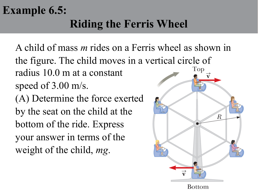## **Example 6.5: Riding the Ferris Wheel**

A child of mass *m* rides on a Ferris wheel as shown in the figure. The child moves in a vertical circle of Top radius 10.0 m at a constant speed of 3.00 m/s.

(A) Determine the force exerted by the seat on the child at the bottom of the ride. Express your answer in terms of the weight of the child, *mg*.

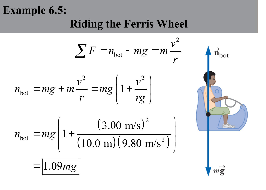## **Example 6.5: Riding the Ferris Wheel**

$$
\sum F = n_{\text{bot}} - mg = m \frac{v^2}{r}
$$
  
\n
$$
n_{\text{bot}} = mg + m \frac{v^2}{r} = mg \left( 1 + \frac{v^2}{rg} \right)
$$
  
\n
$$
n_{\text{bot}} = mg \left( 1 + \frac{(3.00 \text{ m/s})^2}{(10.0 \text{ m})(9.80 \text{ m/s}^2)} \right)
$$
  
\n
$$
= 1.09mg
$$